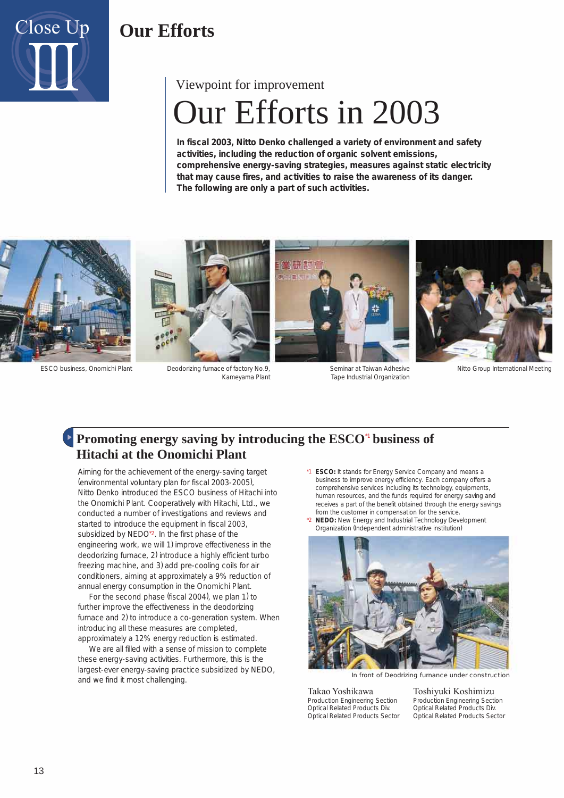

# Our Efforts in 2003 Viewpoint for improvement

**In fiscal 2003, Nitto Denko challenged a variety of environment and safety activities, including the reduction of organic solvent emissions, comprehensive energy-saving strategies, measures against static electricity that may cause fires, and activities to raise the awareness of its danger. The following are only a part of such activities.**





ESCO business, Onomichi Plant Deodorizing furnace of factory No.9, Kameyama Plant



Seminar at Taiwan Adhesive Tape Industrial Organization



Nitto Group International Meeting

## Promoting energy saving by introducing the ESCO<sup>"</sup> business of **Hitachi at the Onomichi Plant**

Aiming for the achievement of the energy-saving target (environmental voluntary plan for fiscal 2003-2005), Nitto Denko introduced the ESCO business of Hitachi into the Onomichi Plant. Cooperatively with Hitachi, Ltd., we conducted a number of investigations and reviews and started to introduce the equipment in fiscal 2003, subsidized by NEDO\*2. In the first phase of the engineering work, we will 1) improve effectiveness in the deodorizing furnace, 2) introduce a highly efficient turbo freezing machine, and 3) add pre-cooling coils for air conditioners, aiming at approximately a 9% reduction of annual energy consumption in the Onomichi Plant.

 For the second phase (fiscal 2004), we plan 1) to further improve the effectiveness in the deodorizing furnace and 2) to introduce a co-generation system. When introducing all these measures are completed, approximately a 12% energy reduction is estimated.

 We are all filled with a sense of mission to complete these energy-saving activities. Furthermore, this is the largest-ever energy-saving practice subsidized by NEDO, and we find it most challenging.

- \*1 **ESCO:** It stands for Energy Service Company and means a business to improve energy efficiency. Each company offers a comprehensive services including its technology, equipments, human resources, and the funds required for energy saving and receives a part of the benefit obtained through the energy savings from the customer in compensation for the service.
- \*2 **NEDO:** New Energy and Industrial Technology Development Organization (Independent administrative institution)



In front of Deodrizing furnance under construction

Takao Yoshikawa Toshiyuki Koshimizu Production Engineering Section Optical Related Products Div. Optical Related Products Sector

Production Engineering Section Optical Related Products Div. Optical Related Products Sector